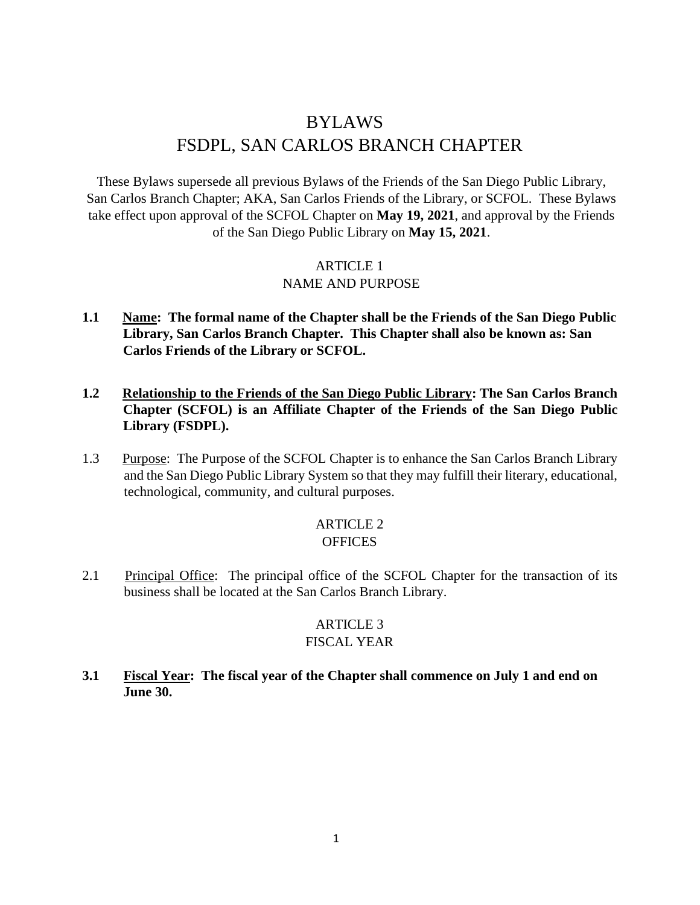# BYLAWS FSDPL, SAN CARLOS BRANCH CHAPTER

These Bylaws supersede all previous Bylaws of the Friends of the San Diego Public Library, San Carlos Branch Chapter; AKA, San Carlos Friends of the Library, or SCFOL. These Bylaws take effect upon approval of the SCFOL Chapter on **May 19, 2021**, and approval by the Friends of the San Diego Public Library on **May 15, 2021**.

# ARTICLE 1

## NAME AND PURPOSE

- **1.1 Name: The formal name of the Chapter shall be the Friends of the San Diego Public Library, San Carlos Branch Chapter. This Chapter shall also be known as: San Carlos Friends of the Library or SCFOL.**
- **1.2 Relationship to the Friends of the San Diego Public Library: The San Carlos Branch Chapter (SCFOL) is an Affiliate Chapter of the Friends of the San Diego Public Library (FSDPL).**
- 1.3 Purpose: The Purpose of the SCFOL Chapter is to enhance the San Carlos Branch Library and the San Diego Public Library System so that they may fulfill their literary, educational, technological, community, and cultural purposes.

#### ARTICLE 2 **OFFICES**

2.1 Principal Office: The principal office of the SCFOL Chapter for the transaction of its business shall be located at the San Carlos Branch Library.

#### ARTICLE 3 FISCAL YEAR

**3.1 Fiscal Year: The fiscal year of the Chapter shall commence on July 1 and end on June 30.**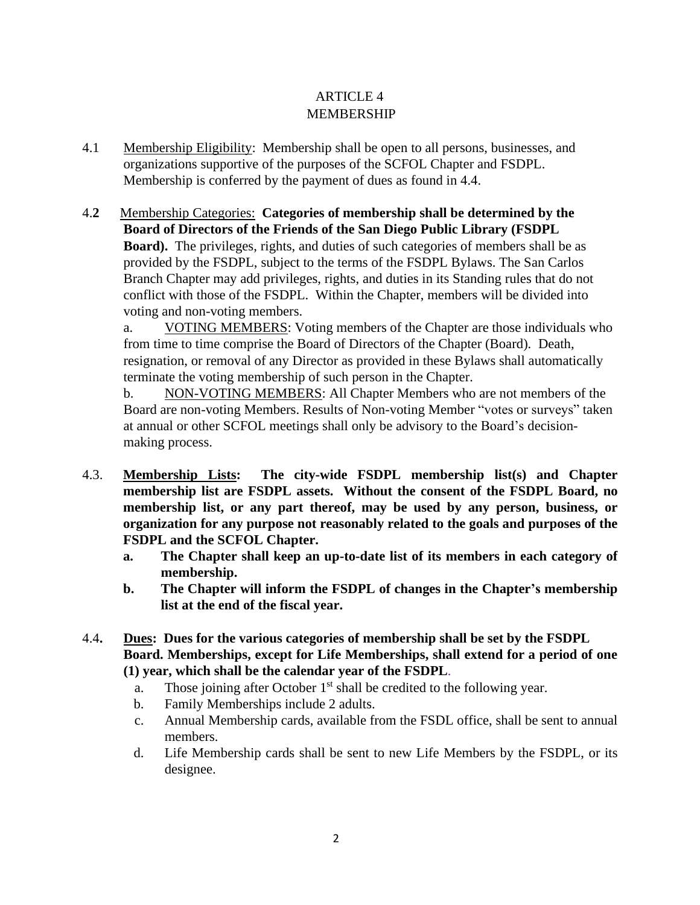# ARTICLE 4 MEMBERSHIP

- 4.1 Membership Eligibility: Membership shall be open to all persons, businesses, and organizations supportive of the purposes of the SCFOL Chapter and FSDPL. Membership is conferred by the payment of dues as found in 4.4.
- 4.**2** Membership Categories: **Categories of membership shall be determined by the Board of Directors of the Friends of the San Diego Public Library (FSDPL Board).** The privileges, rights, and duties of such categories of members shall be as provided by the FSDPL, subject to the terms of the FSDPL Bylaws. The San Carlos Branch Chapter may add privileges, rights, and duties in its Standing rules that do not conflict with those of the FSDPL. Within the Chapter, members will be divided into voting and non-voting members.

a. VOTING MEMBERS: Voting members of the Chapter are those individuals who from time to time comprise the Board of Directors of the Chapter (Board). Death, resignation, or removal of any Director as provided in these Bylaws shall automatically terminate the voting membership of such person in the Chapter.

b. NON-VOTING MEMBERS: All Chapter Members who are not members of the Board are non-voting Members. Results of Non-voting Member "votes or surveys" taken at annual or other SCFOL meetings shall only be advisory to the Board's decisionmaking process.

- 4.3. **Membership Lists: The city-wide FSDPL membership list(s) and Chapter membership list are FSDPL assets. Without the consent of the FSDPL Board, no membership list, or any part thereof, may be used by any person, business, or organization for any purpose not reasonably related to the goals and purposes of the FSDPL and the SCFOL Chapter.** 
	- **a. The Chapter shall keep an up-to-date list of its members in each category of membership.**
	- **b. The Chapter will inform the FSDPL of changes in the Chapter's membership list at the end of the fiscal year.**
- 4.4**. Dues: Dues for the various categories of membership shall be set by the FSDPL Board. Memberships, except for Life Memberships, shall extend for a period of one (1) year, which shall be the calendar year of the FSDPL**.
	- a. Those joining after October  $1<sup>st</sup>$  shall be credited to the following year.
	- b. Family Memberships include 2 adults.
	- c. Annual Membership cards, available from the FSDL office, shall be sent to annual members.
	- d. Life Membership cards shall be sent to new Life Members by the FSDPL, or its designee.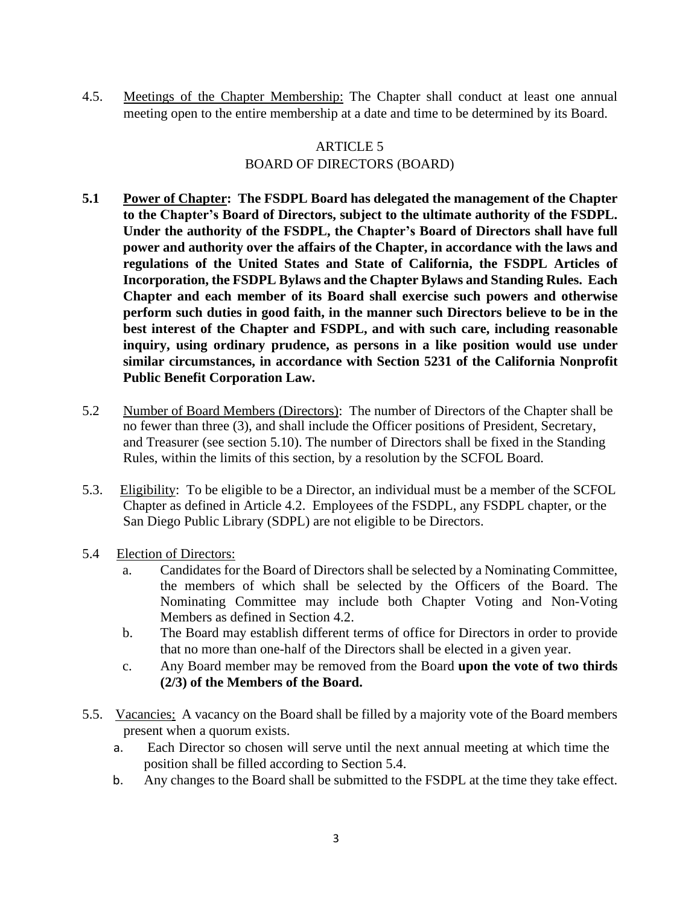4.5. Meetings of the Chapter Membership: The Chapter shall conduct at least one annual meeting open to the entire membership at a date and time to be determined by its Board.

# ARTICLE 5 BOARD OF DIRECTORS (BOARD)

- **5.1 Power of Chapter: The FSDPL Board has delegated the management of the Chapter to the Chapter's Board of Directors, subject to the ultimate authority of the FSDPL. Under the authority of the FSDPL, the Chapter's Board of Directors shall have full power and authority over the affairs of the Chapter, in accordance with the laws and regulations of the United States and State of California, the FSDPL Articles of Incorporation, the FSDPL Bylaws and the Chapter Bylaws and Standing Rules. Each Chapter and each member of its Board shall exercise such powers and otherwise perform such duties in good faith, in the manner such Directors believe to be in the best interest of the Chapter and FSDPL, and with such care, including reasonable inquiry, using ordinary prudence, as persons in a like position would use under similar circumstances, in accordance with Section 5231 of the California Nonprofit Public Benefit Corporation Law.**
- 5.2 Number of Board Members (Directors): The number of Directors of the Chapter shall be no fewer than three (3), and shall include the Officer positions of President, Secretary, and Treasurer (see section 5.10). The number of Directors shall be fixed in the Standing Rules, within the limits of this section, by a resolution by the SCFOL Board.
- 5.3. Eligibility: To be eligible to be a Director, an individual must be a member of the SCFOL Chapter as defined in Article 4.2. Employees of the FSDPL, any FSDPL chapter, or the San Diego Public Library (SDPL) are not eligible to be Directors.
- 5.4 Election of Directors:
	- a. Candidates for the Board of Directors shall be selected by a Nominating Committee, the members of which shall be selected by the Officers of the Board. The Nominating Committee may include both Chapter Voting and Non-Voting Members as defined in Section 4.2.
	- b. The Board may establish different terms of office for Directors in order to provide that no more than one-half of the Directors shall be elected in a given year.
	- c. Any Board member may be removed from the Board **upon the vote of two thirds (2/3) of the Members of the Board.**
- 5.5. Vacancies: A vacancy on the Board shall be filled by a majority vote of the Board members present when a quorum exists.
	- a. Each Director so chosen will serve until the next annual meeting at which time the position shall be filled according to Section 5.4.
	- b. Any changes to the Board shall be submitted to the FSDPL at the time they take effect.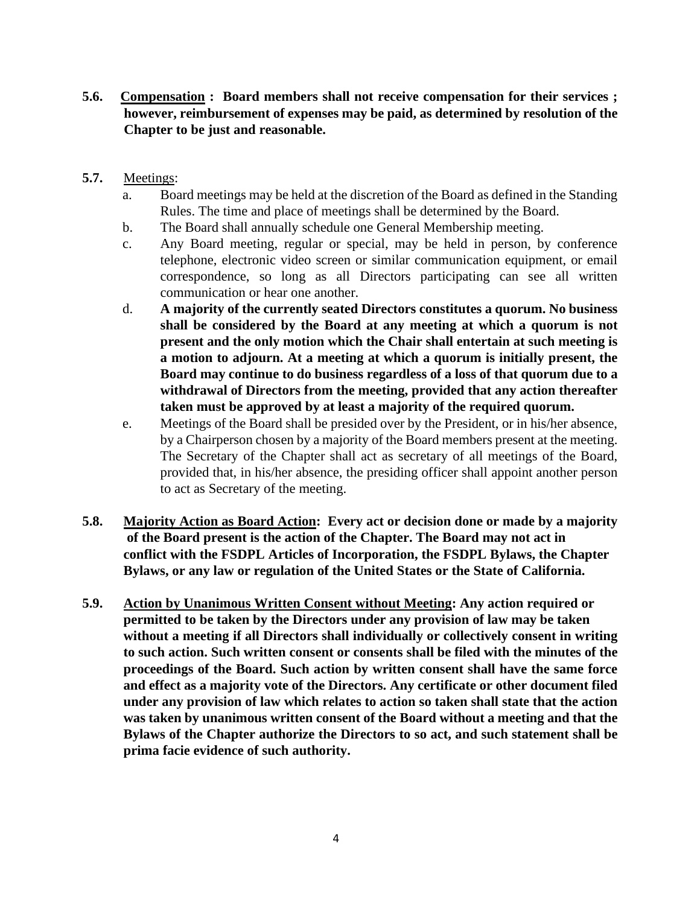- **5.6. Compensation : Board members shall not receive compensation for their services ; however, reimbursement of expenses may be paid, as determined by resolution of the Chapter to be just and reasonable.**
- **5.7.** Meetings:
	- a. Board meetings may be held at the discretion of the Board as defined in the Standing Rules. The time and place of meetings shall be determined by the Board.
	- b. The Board shall annually schedule one General Membership meeting.
	- c. Any Board meeting, regular or special, may be held in person, by conference telephone, electronic video screen or similar communication equipment, or email correspondence, so long as all Directors participating can see all written communication or hear one another.
	- d. **A majority of the currently seated Directors constitutes a quorum. No business shall be considered by the Board at any meeting at which a quorum is not present and the only motion which the Chair shall entertain at such meeting is a motion to adjourn. At a meeting at which a quorum is initially present, the Board may continue to do business regardless of a loss of that quorum due to a withdrawal of Directors from the meeting, provided that any action thereafter taken must be approved by at least a majority of the required quorum.**
	- e. Meetings of the Board shall be presided over by the President, or in his/her absence, by a Chairperson chosen by a majority of the Board members present at the meeting. The Secretary of the Chapter shall act as secretary of all meetings of the Board, provided that, in his/her absence, the presiding officer shall appoint another person to act as Secretary of the meeting.
- **5.8. Majority Action as Board Action: Every act or decision done or made by a majority of the Board present is the action of the Chapter. The Board may not act in conflict with the FSDPL Articles of Incorporation, the FSDPL Bylaws, the Chapter Bylaws, or any law or regulation of the United States or the State of California.**
- **5.9. Action by Unanimous Written Consent without Meeting: Any action required or permitted to be taken by the Directors under any provision of law may be taken without a meeting if all Directors shall individually or collectively consent in writing to such action. Such written consent or consents shall be filed with the minutes of the proceedings of the Board. Such action by written consent shall have the same force and effect as a majority vote of the Directors. Any certificate or other document filed under any provision of law which relates to action so taken shall state that the action was taken by unanimous written consent of the Board without a meeting and that the Bylaws of the Chapter authorize the Directors to so act, and such statement shall be prima facie evidence of such authority.**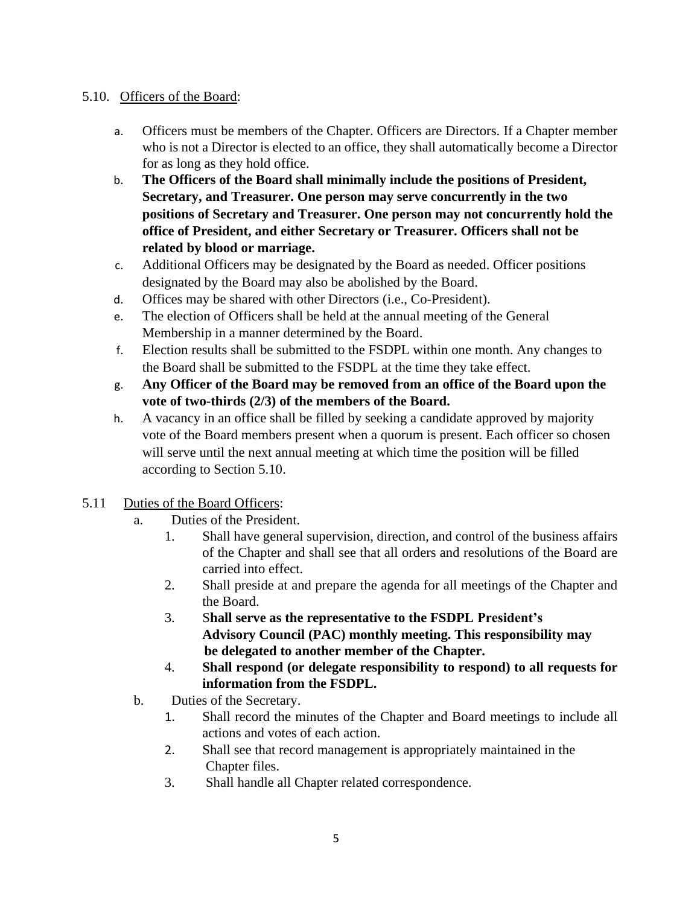## 5.10. Officers of the Board:

- a. Officers must be members of the Chapter. Officers are Directors. If a Chapter member who is not a Director is elected to an office, they shall automatically become a Director for as long as they hold office.
- b. **The Officers of the Board shall minimally include the positions of President, Secretary, and Treasurer. One person may serve concurrently in the two positions of Secretary and Treasurer. One person may not concurrently hold the office of President, and either Secretary or Treasurer. Officers shall not be related by blood or marriage.**
- c. Additional Officers may be designated by the Board as needed. Officer positions designated by the Board may also be abolished by the Board.
- d. Offices may be shared with other Directors (i.e., Co-President).
- e. The election of Officers shall be held at the annual meeting of the General Membership in a manner determined by the Board.
- f. Election results shall be submitted to the FSDPL within one month. Any changes to the Board shall be submitted to the FSDPL at the time they take effect.
- g. **Any Officer of the Board may be removed from an office of the Board upon the vote of two-thirds (2/3) of the members of the Board.**
- h. A vacancy in an office shall be filled by seeking a candidate approved by majority vote of the Board members present when a quorum is present. Each officer so chosen will serve until the next annual meeting at which time the position will be filled according to Section 5.10.
- 5.11 Duties of the Board Officers:
	- a. Duties of the President.
		- 1. Shall have general supervision, direction, and control of the business affairs of the Chapter and shall see that all orders and resolutions of the Board are carried into effect.
		- 2. Shall preside at and prepare the agenda for all meetings of the Chapter and the Board.
		- 3. S**hall serve as the representative to the FSDPL President's Advisory Council (PAC) monthly meeting. This responsibility may be delegated to another member of the Chapter.**
		- 4. **Shall respond (or delegate responsibility to respond) to all requests for information from the FSDPL.**
	- b. Duties of the Secretary.
		- 1. Shall record the minutes of the Chapter and Board meetings to include all actions and votes of each action.
		- 2. Shall see that record management is appropriately maintained in the Chapter files.
		- 3. Shall handle all Chapter related correspondence.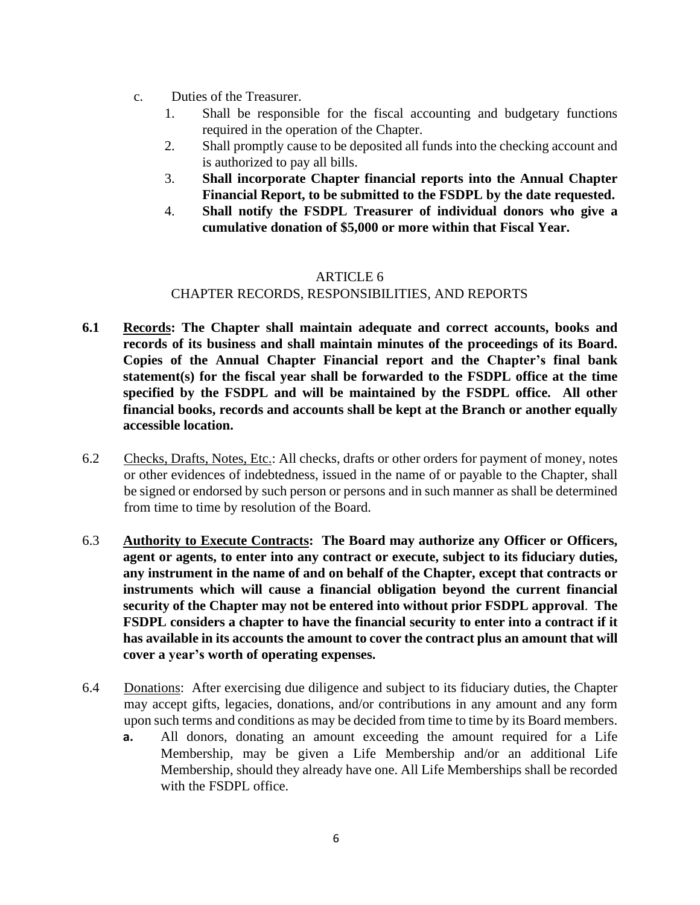- c. Duties of the Treasurer.
	- 1. Shall be responsible for the fiscal accounting and budgetary functions required in the operation of the Chapter.
	- 2. Shall promptly cause to be deposited all funds into the checking account and is authorized to pay all bills.
	- 3. **Shall incorporate Chapter financial reports into the Annual Chapter Financial Report, to be submitted to the FSDPL by the date requested.**
	- 4. **Shall notify the FSDPL Treasurer of individual donors who give a cumulative donation of \$5,000 or more within that Fiscal Year.**

## ARTICLE 6

# CHAPTER RECORDS, RESPONSIBILITIES, AND REPORTS

- **6.1 Records: The Chapter shall maintain adequate and correct accounts, books and records of its business and shall maintain minutes of the proceedings of its Board. Copies of the Annual Chapter Financial report and the Chapter's final bank statement(s) for the fiscal year shall be forwarded to the FSDPL office at the time specified by the FSDPL and will be maintained by the FSDPL office. All other financial books, records and accounts shall be kept at the Branch or another equally accessible location.**
- 6.2 Checks, Drafts, Notes, Etc.: All checks, drafts or other orders for payment of money, notes or other evidences of indebtedness, issued in the name of or payable to the Chapter, shall be signed or endorsed by such person or persons and in such manner as shall be determined from time to time by resolution of the Board.
- 6.3 **Authority to Execute Contracts: The Board may authorize any Officer or Officers, agent or agents, to enter into any contract or execute, subject to its fiduciary duties, any instrument in the name of and on behalf of the Chapter, except that contracts or instruments which will cause a financial obligation beyond the current financial security of the Chapter may not be entered into without prior FSDPL approval**. **The FSDPL considers a chapter to have the financial security to enter into a contract if it has available in its accounts the amount to cover the contract plus an amount that will cover a year's worth of operating expenses.**
- 6.4 Donations: After exercising due diligence and subject to its fiduciary duties, the Chapter may accept gifts, legacies, donations, and/or contributions in any amount and any form upon such terms and conditions as may be decided from time to time by its Board members.
	- **a.** All donors, donating an amount exceeding the amount required for a Life Membership, may be given a Life Membership and/or an additional Life Membership, should they already have one. All Life Memberships shall be recorded with the FSDPL office.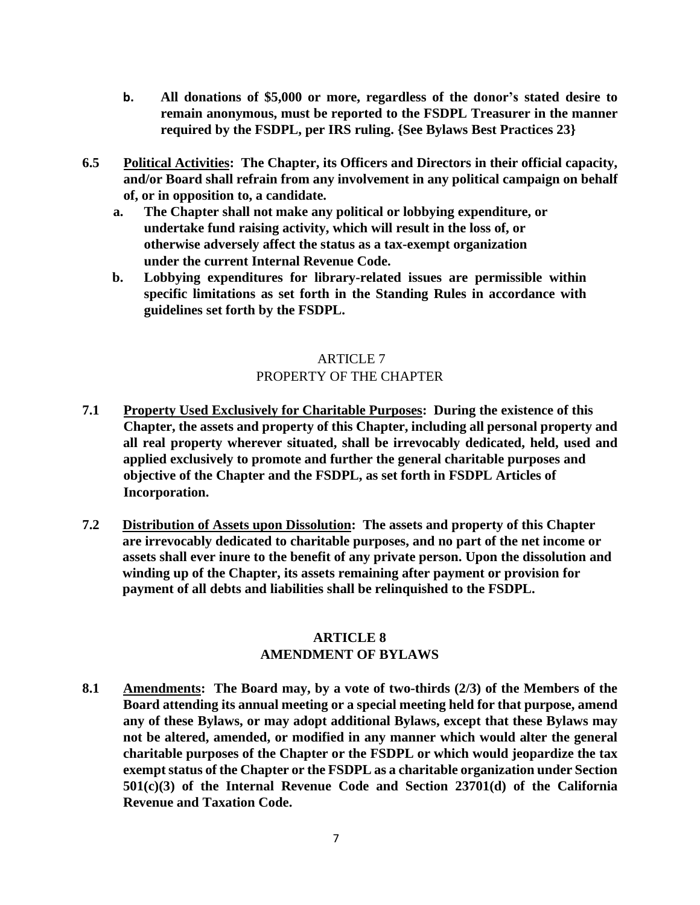- **b. All donations of \$5,000 or more, regardless of the donor's stated desire to remain anonymous, must be reported to the FSDPL Treasurer in the manner required by the FSDPL, per IRS ruling. {See Bylaws Best Practices 23}**
- **6.5 Political Activities: The Chapter, its Officers and Directors in their official capacity, and/or Board shall refrain from any involvement in any political campaign on behalf of, or in opposition to, a candidate.**
	- **a. The Chapter shall not make any political or lobbying expenditure, or undertake fund raising activity, which will result in the loss of, or otherwise adversely affect the status as a tax-exempt organization under the current Internal Revenue Code.**
	- **b. Lobbying expenditures for library-related issues are permissible within specific limitations as set forth in the Standing Rules in accordance with guidelines set forth by the FSDPL.**

# ARTICLE 7 PROPERTY OF THE CHAPTER

- **7.1 Property Used Exclusively for Charitable Purposes: During the existence of this Chapter, the assets and property of this Chapter, including all personal property and all real property wherever situated, shall be irrevocably dedicated, held, used and applied exclusively to promote and further the general charitable purposes and objective of the Chapter and the FSDPL, as set forth in FSDPL Articles of Incorporation.**
- **7.2 Distribution of Assets upon Dissolution: The assets and property of this Chapter are irrevocably dedicated to charitable purposes, and no part of the net income or assets shall ever inure to the benefit of any private person. Upon the dissolution and winding up of the Chapter, its assets remaining after payment or provision for payment of all debts and liabilities shall be relinquished to the FSDPL.**

## **ARTICLE 8 AMENDMENT OF BYLAWS**

**8.1 Amendments: The Board may, by a vote of two-thirds (2/3) of the Members of the Board attending its annual meeting or a special meeting held for that purpose, amend any of these Bylaws, or may adopt additional Bylaws, except that these Bylaws may not be altered, amended, or modified in any manner which would alter the general charitable purposes of the Chapter or the FSDPL or which would jeopardize the tax exemptstatus of the Chapter or the FSDPL as a charitable organization under Section 501(c)(3) of the Internal Revenue Code and Section 23701(d) of the California Revenue and Taxation Code.**